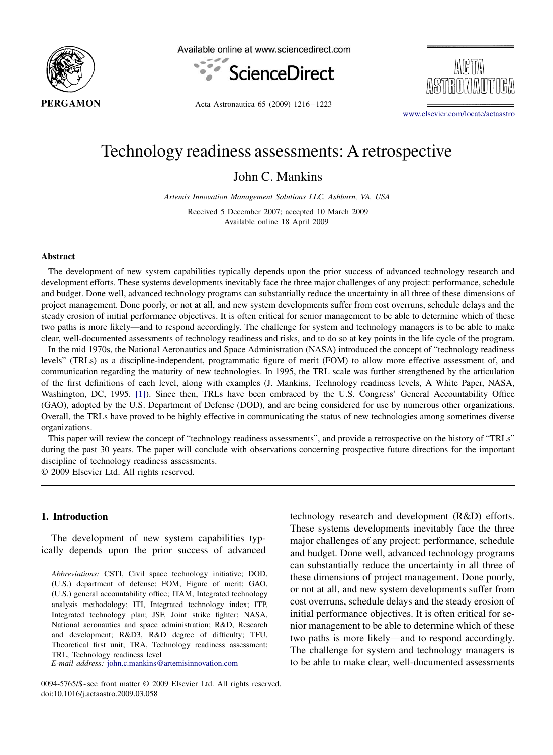

Available online at www.sciencedirect.com





Acta Astronautica 65 (2009) 1216 – 1223

[www.elsevier.com/locate/actaastro](http://www.elsevier.com/locate/actaastro)

# Technology readiness assessments: A retrospective

John C. Mankins

*Artemis Innovation Managemen[t](#page-0-0) [S](#page-0-0)olutions LLC, Ashburn, VA, USA*

Received 5 December 2007; accepted 10 March 2009 Available online 18 April 2009

#### **Abstract**

The development of new system capabilities typically depends upon the prior success of advanced technology research and development efforts. These systems developments inevitably face the three major challenges of any project: performance, schedule and budget. Done well, advanced technology programs can substantially reduce the uncertainty in all three of these dimensions of project management. Done poorly, or not at all, and new system developments suffer from cost overruns, schedule delays and the steady erosion of initial performance objectives. It is often critical for senior management to be able to determine which of these two paths is more likely—and to respond accordingly. The challenge for system and technology managers is to be able to make clear, well-documented assessments of technology readiness and risks, and to do so at key points in the life cycle of the program.

In the mid 1970s, the National Aeronautics and Space Administration (NASA) introduced the concept of "technology readiness levels" (TRLs) as a discipline-independent, programmatic figure of merit (FOM) to allow more effective assessment of, and communication regarding the maturity of new technologies. In 1995, the TRL scale was further strengthened by the articulation of the first definitions of each level, along with examples (J. Mankins, Technology readiness levels, A White Paper, NASA, Washington, DC, 1995. [\[1\]\)](#page-7-0). Since then, TRLs have been embraced by the U.S. Congress' General Accountability Office (GAO), adopted by the U.S. Department of Defense (DOD), and are being considered for use by numerous other organizations. Overall, the TRLs have proved to be highly effective in communicating the status of new technologies among sometimes diverse organizations.

This paper will review the concept of "technology readiness assessments", and provide a retrospective on the history of "TRLs" during the past 30 years. The paper will conclude with observations concerning prospective future directions for the important discipline of technology readiness assessments.

© 2009 Elsevier Ltd. All rights reserved.

### **1. Introduction**

The development of new system capabilities typically depends upon the prior success of advanced

*E-mail address:* [john.c.mankins@artemisinnovation.com](mailto:john.c.mankins@artemisinnovation.com)

technology research and development (R&D) efforts. These systems developments inevitably face the three major challenges of any project: performance, schedule and budget. Done well, advanced technology programs can substantially reduce the uncertainty in all three of these dimensions of project management. Done poorly, or not at all, and new system developments suffer from cost overruns, schedule delays and the steady erosion of initial performance objectives. It is often critical for senior management to be able to determine which of these two paths is more likely—and to respond accordingly. The challenge for system and technology managers is to be able to make clear, well-documented assessments

<span id="page-0-0"></span>*Abbreviations:* CSTI, Civil space technology initiative; DOD, (U.S.) department of defense; FOM, Figure of merit; GAO, (U.S.) general accountability office; ITAM, Integrated technology analysis methodology; ITI, Integrated technology index; ITP, Integrated technology plan; JSF, Joint strike fighter; NASA, National aeronautics and space administration; R&D, Research and development; R&D3, R&D degree of difficulty; TFU, Theoretical first unit; TRA, Technology readiness assessment; TRL, Technology readiness level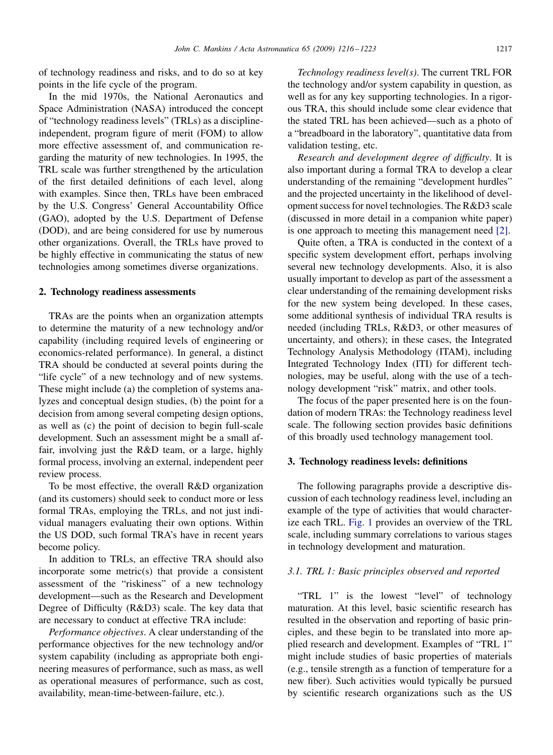of technology readiness and risks, and to do so at key points in the life cycle of the program.

In the mid 1970s, the National Aeronautics and Space Administration (NASA) introduced the concept of "technology readiness levels" (TRLs) as a disciplineindependent, program figure of merit (FOM) to allow more effective assessment of, and communication regarding the maturity of new technologies. In 1995, the TRL scale was further strengthened by the articulation of the first detailed definitions of each level, along with examples. Since then, TRLs have been embraced by the U.S. Congress' General Accountability Office (GAO), adopted by the U.S. Department of Defense (DOD), and are being considered for use by numerous other organizations. Overall, the TRLs have proved to be highly effective in communicating the status of new technologies among sometimes diverse organizations.

#### **2. Technology readiness assessments**

TRAs are the points when an organization attempts to determine the maturity of a new technology and/or capability (including required levels of engineering or economics-related performance). In general, a distinct TRA should be conducted at several points during the "life cycle" of a new technology and of new systems. These might include (a) the completion of systems analyzes and conceptual design studies, (b) the point for a decision from among several competing design options, as well as (c) the point of decision to begin full-scale development. Such an assessment might be a small affair, involving just the R&D team, or a large, highly formal process, involving an external, independent peer review process.

To be most effective, the overall R&D organization (and its customers) should seek to conduct more or less formal TRAs, employing the TRLs, and not just individual managers evaluating their own options. Within the US DOD, such formal TRA's have in recent years become policy.

In addition to TRLs, an effective TRA should also incorporate some metric(s) that provide a consistent assessment of the "riskiness" of a new technology development—such as the Research and Development Degree of Difficulty (R&D3) scale. The key data that are necessary to conduct at effective TRA include:

*Performance objectives*. A clear understanding of the performance objectives for the new technology and/or system capability (including as appropriate both engineering measures of performance, such as mass, as well as operational measures of performance, such as cost, availability, mean-time-between-failure, etc.).

*Technology readiness level(s)*. The current TRL FOR the technology and/or system capability in question, as well as for any key supporting technologies. In a rigorous TRA, this should include some clear evidence that the stated TRL has been achieved—such as a photo of a "breadboard in the laboratory", quantitative data from validation testing, etc.

*Research and development degree of difficulty*. It is also important during a formal TRA to develop a clear understanding of the remaining "development hurdles" and the projected uncertainty in the likelihood of development success for novel technologies. The R&D3 scale (discussed in more detail in a companion white paper) is one approach to meeting this management need [\[2\].](#page-7-1)

Quite often, a TRA is conducted in the context of a specific system development effort, perhaps involving several new technology developments. Also, it is also usually important to develop as part of the assessment a clear understanding of the remaining development risks for the new system being developed. In these cases, some additional synthesis of individual TRA results is needed (including TRLs, R&D3, or other measures of uncertainty, and others); in these cases, the Integrated Technology Analysis Methodology (ITAM), including Integrated Technology Index (ITI) for different technologies, may be useful, along with the use of a technology development "risk" matrix, and other tools.

The focus of the paper presented here is on the foundation of modern TRAs: the Technology readiness level scale. The following section provides basic definitions of this broadly used technology management tool.

### **3. Technology readiness levels: definitions**

The following paragraphs provide a descriptive discussion of each technology readiness level, including an example of the type of activities that would characterize each TRL. [Fig. 1](#page-2-0) provides an overview of the TRL scale, including summary correlations to various stages in technology development and maturation.

### *3.1. TRL 1: Basic principles observed and reported*

"TRL 1" is the lowest "level" of technology maturation. At this level, basic scientific research has resulted in the observation and reporting of basic principles, and these begin to be translated into more applied research and development. Examples of "TRL 1" might include studies of basic properties of materials (e.g., tensile strength as a function of temperature for a new fiber). Such activities would typically be pursued by scientific research organizations such as the US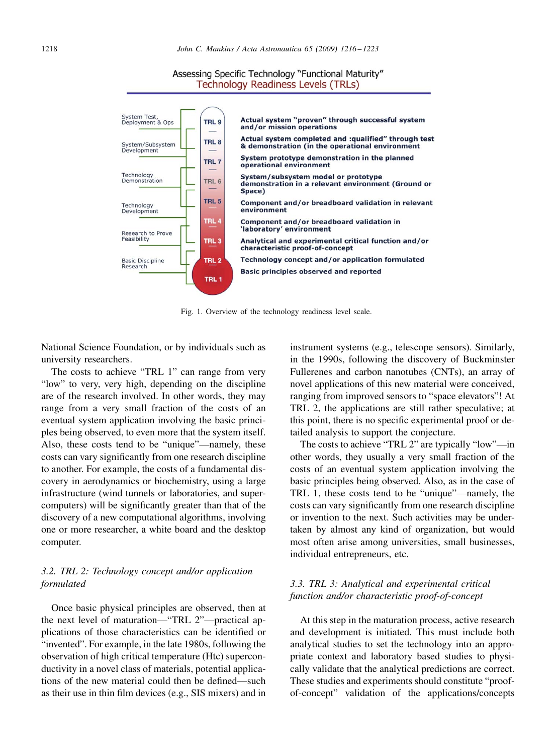



Fig. 1. Overview of the technology readiness level scale.

National Science Foundation, or by individuals such as university researchers.

The costs to achieve "TRL 1" can range from very "low" to very, very high, depending on the discipline are of the research involved. In other words, they may range from a very small fraction of the costs of an eventual system application involving the basic principles being observed, to even more that the system itself. Also, these costs tend to be "unique"—namely, these costs can vary significantly from one research discipline to another. For example, the costs of a fundamental discovery in aerodynamics or biochemistry, using a large infrastructure (wind tunnels or laboratories, and supercomputers) will be significantly greater than that of the discovery of a new computational algorithms, involving one or more researcher, a white board and the desktop computer.

# *3.2. TRL 2: Technology concept and/or application formulated*

Once basic physical principles are observed, then at the next level of maturation—"TRL 2"—practical applications of those characteristics can be identified or "invented". For example, in the late 1980s, following the observation of high critical temperature (Htc) superconductivity in a novel class of materials, potential applications of the new material could then be defined—such as their use in thin film devices (e.g., SIS mixers) and in

<span id="page-2-0"></span>instrument systems (e.g., telescope sensors). Similarly, in the 1990s, following the discovery of Buckminster Fullerenes and carbon nanotubes (CNTs), an array of novel applications of this new material were conceived, ranging from improved sensors to "space elevators"! At TRL 2, the applications are still rather speculative; at this point, there is no specific experimental proof or detailed analysis to support the conjecture.

The costs to achieve "TRL 2" are typically "low"—in other words, they usually a very small fraction of the costs of an eventual system application involving the basic principles being observed. Also, as in the case of TRL 1, these costs tend to be "unique"—namely, the costs can vary significantly from one research discipline or invention to the next. Such activities may be undertaken by almost any kind of organization, but would most often arise among universities, small businesses, individual entrepreneurs, etc.

# *3.3. TRL 3: Analytical and experimental critical function and/or characteristic proof-of-concept*

At this step in the maturation process, active research and development is initiated. This must include both analytical studies to set the technology into an appropriate context and laboratory based studies to physically validate that the analytical predictions are correct. These studies and experiments should constitute "proofof-concept" validation of the applications/concepts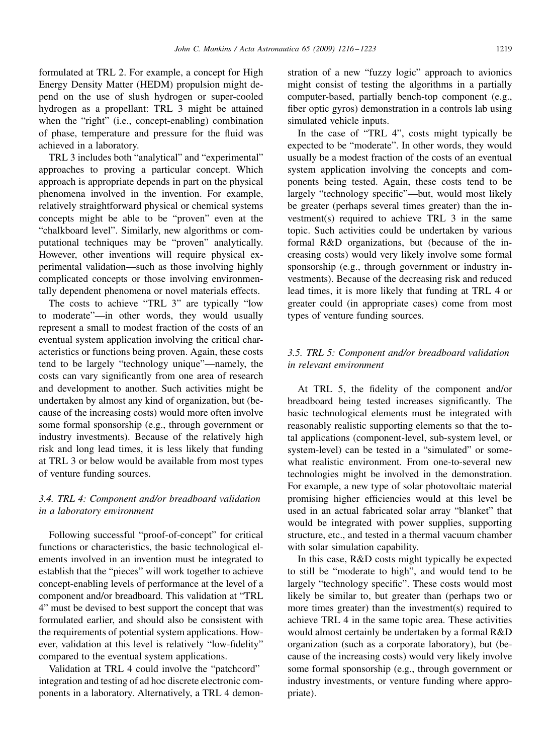formulated at TRL 2. For example, a concept for High Energy Density Matter (HEDM) propulsion might depend on the use of slush hydrogen or super-cooled hydrogen as a propellant: TRL 3 might be attained when the "right" (i.e., concept-enabling) combination of phase, temperature and pressure for the fluid was achieved in a laboratory.

TRL 3 includes both "analytical" and "experimental" approaches to proving a particular concept. Which approach is appropriate depends in part on the physical phenomena involved in the invention. For example, relatively straightforward physical or chemical systems concepts might be able to be "proven" even at the "chalkboard level". Similarly, new algorithms or computational techniques may be "proven" analytically. However, other inventions will require physical experimental validation—such as those involving highly complicated concepts or those involving environmentally dependent phenomena or novel materials effects.

The costs to achieve "TRL 3" are typically "low to moderate"—in other words, they would usually represent a small to modest fraction of the costs of an eventual system application involving the critical characteristics or functions being proven. Again, these costs tend to be largely "technology unique"—namely, the costs can vary significantly from one area of research and development to another. Such activities might be undertaken by almost any kind of organization, but (because of the increasing costs) would more often involve some formal sponsorship (e.g., through government or industry investments). Because of the relatively high risk and long lead times, it is less likely that funding at TRL 3 or below would be available from most types of venture funding sources.

# *3.4. TRL 4: Component and/or breadboard validation in a laboratory environment*

Following successful "proof-of-concept" for critical functions or characteristics, the basic technological elements involved in an invention must be integrated to establish that the "pieces" will work together to achieve concept-enabling levels of performance at the level of a component and/or breadboard. This validation at "TRL 4" must be devised to best support the concept that was formulated earlier, and should also be consistent with the requirements of potential system applications. However, validation at this level is relatively "low-fidelity" compared to the eventual system applications.

Validation at TRL 4 could involve the "patchcord" integration and testing of ad hoc discrete electronic components in a laboratory. Alternatively, a TRL 4 demonstration of a new "fuzzy logic" approach to avionics might consist of testing the algorithms in a partially computer-based, partially bench-top component (e.g., fiber optic gyros) demonstration in a controls lab using simulated vehicle inputs.

In the case of "TRL 4", costs might typically be expected to be "moderate". In other words, they would usually be a modest fraction of the costs of an eventual system application involving the concepts and components being tested. Again, these costs tend to be largely "technology specific"—but, would most likely be greater (perhaps several times greater) than the investment(s) required to achieve TRL 3 in the same topic. Such activities could be undertaken by various formal R&D organizations, but (because of the increasing costs) would very likely involve some formal sponsorship (e.g., through government or industry investments). Because of the decreasing risk and reduced lead times, it is more likely that funding at TRL 4 or greater could (in appropriate cases) come from most types of venture funding sources.

# *3.5. TRL 5: Component and/or breadboard validation in relevant environment*

At TRL 5, the fidelity of the component and/or breadboard being tested increases significantly. The basic technological elements must be integrated with reasonably realistic supporting elements so that the total applications (component-level, sub-system level, or system-level) can be tested in a "simulated" or somewhat realistic environment. From one-to-several new technologies might be involved in the demonstration. For example, a new type of solar photovoltaic material promising higher efficiencies would at this level be used in an actual fabricated solar array "blanket" that would be integrated with power supplies, supporting structure, etc., and tested in a thermal vacuum chamber with solar simulation capability.

In this case, R&D costs might typically be expected to still be "moderate to high", and would tend to be largely "technology specific". These costs would most likely be similar to, but greater than (perhaps two or more times greater) than the investment(s) required to achieve TRL 4 in the same topic area. These activities would almost certainly be undertaken by a formal R&D organization (such as a corporate laboratory), but (because of the increasing costs) would very likely involve some formal sponsorship (e.g., through government or industry investments, or venture funding where appropriate).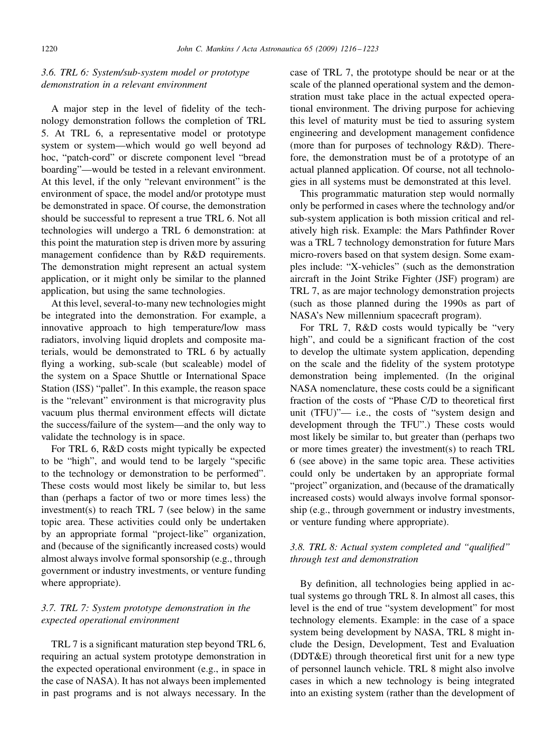### *3.6. TRL 6: System/sub-system model or prototype demonstration in a relevant environment*

A major step in the level of fidelity of the technology demonstration follows the completion of TRL 5. At TRL 6, a representative model or prototype system or system—which would go well beyond ad hoc, "patch-cord" or discrete component level "bread boarding"—would be tested in a relevant environment. At this level, if the only "relevant environment" is the environment of space, the model and/or prototype must be demonstrated in space. Of course, the demonstration should be successful to represent a true TRL 6. Not all technologies will undergo a TRL 6 demonstration: at this point the maturation step is driven more by assuring management confidence than by R&D requirements. The demonstration might represent an actual system application, or it might only be similar to the planned application, but using the same technologies.

At this level, several-to-many new technologies might be integrated into the demonstration. For example, a innovative approach to high temperature/low mass radiators, involving liquid droplets and composite materials, would be demonstrated to TRL 6 by actually flying a working, sub-scale (but scaleable) model of the system on a Space Shuttle or International Space Station (ISS) "pallet". In this example, the reason space is the "relevant" environment is that microgravity plus vacuum plus thermal environment effects will dictate the success/failure of the system—and the only way to validate the technology is in space.

For TRL 6, R&D costs might typically be expected to be "high", and would tend to be largely "specific to the technology or demonstration to be performed". These costs would most likely be similar to, but less than (perhaps a factor of two or more times less) the investment(s) to reach TRL 7 (see below) in the same topic area. These activities could only be undertaken by an appropriate formal "project-like" organization, and (because of the significantly increased costs) would almost always involve formal sponsorship (e.g., through government or industry investments, or venture funding where appropriate).

# *3.7. TRL 7: System prototype demonstration in the expected operational environment*

TRL 7 is a significant maturation step beyond TRL 6, requiring an actual system prototype demonstration in the expected operational environment (e.g., in space in the case of NASA). It has not always been implemented in past programs and is not always necessary. In the case of TRL 7, the prototype should be near or at the scale of the planned operational system and the demonstration must take place in the actual expected operational environment. The driving purpose for achieving this level of maturity must be tied to assuring system engineering and development management confidence (more than for purposes of technology R&D). Therefore, the demonstration must be of a prototype of an actual planned application. Of course, not all technologies in all systems must be demonstrated at this level.

This programmatic maturation step would normally only be performed in cases where the technology and/or sub-system application is both mission critical and relatively high risk. Example: the Mars Pathfinder Rover was a TRL 7 technology demonstration for future Mars micro-rovers based on that system design. Some examples include: "X-vehicles" (such as the demonstration aircraft in the Joint Strike Fighter (JSF) program) are TRL 7, as are major technology demonstration projects (such as those planned during the 1990s as part of NASA's New millennium spacecraft program).

For TRL 7, R&D costs would typically be "very high", and could be a significant fraction of the cost to develop the ultimate system application, depending on the scale and the fidelity of the system prototype demonstration being implemented. (In the original NASA nomenclature, these costs could be a significant fraction of the costs of "Phase C/D to theoretical first unit (TFU)"— i.e., the costs of "system design and development through the TFU".) These costs would most likely be similar to, but greater than (perhaps two or more times greater) the investment(s) to reach TRL 6 (see above) in the same topic area. These activities could only be undertaken by an appropriate formal "project" organization, and (because of the dramatically increased costs) would always involve formal sponsorship (e.g., through government or industry investments, or venture funding where appropriate).

# *3.8. TRL 8: Actual system completed and "qualified" through test and demonstration*

By definition, all technologies being applied in actual systems go through TRL 8. In almost all cases, this level is the end of true "system development" for most technology elements. Example: in the case of a space system being development by NASA, TRL 8 might include the Design, Development, Test and Evaluation (DDT&E) through theoretical first unit for a new type of personnel launch vehicle. TRL 8 might also involve cases in which a new technology is being integrated into an existing system (rather than the development of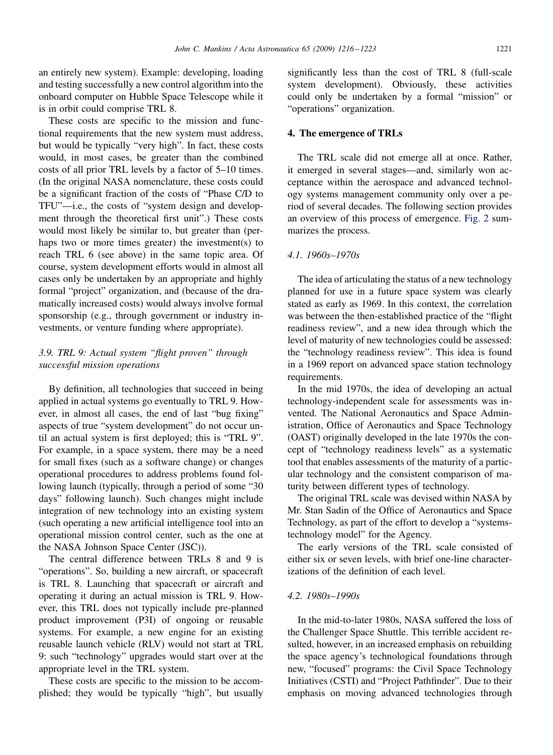an entirely new system). Example: developing, loading and testing successfully a new control algorithm into the onboard computer on Hubble Space Telescope while it is in orbit could comprise TRL 8.

These costs are specific to the mission and functional requirements that the new system must address, but would be typically "very high". In fact, these costs would, in most cases, be greater than the combined costs of all prior TRL levels by a factor of 5–10 times. (In the original NASA nomenclature, these costs could be a significant fraction of the costs of "Phase C/D to TFU"—i.e., the costs of "system design and development through the theoretical first unit".) These costs would most likely be similar to, but greater than (perhaps two or more times greater) the investment(s) to reach TRL 6 (see above) in the same topic area. Of course, system development efforts would in almost all cases only be undertaken by an appropriate and highly formal "project" organization, and (because of the dramatically increased costs) would always involve formal sponsorship (e.g., through government or industry investments, or venture funding where appropriate).

# *3.9. TRL 9: Actual system "flight proven" through successful mission operations*

By definition, all technologies that succeed in being applied in actual systems go eventually to TRL 9. However, in almost all cases, the end of last "bug fixing" aspects of true "system development" do not occur until an actual system is first deployed; this is "TRL 9". For example, in a space system, there may be a need for small fixes (such as a software change) or changes operational procedures to address problems found following launch (typically, through a period of some "30 days" following launch). Such changes might include integration of new technology into an existing system (such operating a new artificial intelligence tool into an operational mission control center, such as the one at the NASA Johnson Space Center (JSC)).

The central difference between TRLs 8 and 9 is "operations". So, building a new aircraft, or spacecraft is TRL 8. Launching that spacecraft or aircraft and operating it during an actual mission is TRL 9. However, this TRL does not typically include pre-planned product improvement (P3I) of ongoing or reusable systems. For example, a new engine for an existing reusable launch vehicle (RLV) would not start at TRL 9: such "technology" upgrades would start over at the appropriate level in the TRL system.

These costs are specific to the mission to be accomplished; they would be typically "high", but usually significantly less than the cost of TRL 8 (full-scale system development). Obviously, these activities could only be undertaken by a formal "mission" or "operations" organization.

#### **4. The emergence of TRLs**

The TRL scale did not emerge all at once. Rather, it emerged in several stages—and, similarly won acceptance within the aerospace and advanced technology systems management community only over a period of several decades. The following section provides an overview of this process of emergence. [Fig. 2](#page-6-0) summarizes the process.

### *4.1. 1960s–1970s*

The idea of articulating the status of a new technology planned for use in a future space system was clearly stated as early as 1969. In this context, the correlation was between the then-established practice of the "flight readiness review", and a new idea through which the level of maturity of new technologies could be assessed: the "technology readiness review". This idea is found in a 1969 report on advanced space station technology requirements.

In the mid 1970s, the idea of developing an actual technology-independent scale for assessments was invented. The National Aeronautics and Space Administration, Office of Aeronautics and Space Technology (OAST) originally developed in the late 1970s the concept of "technology readiness levels" as a systematic tool that enables assessments of the maturity of a particular technology and the consistent comparison of maturity between different types of technology.

The original TRL scale was devised within NASA by Mr. Stan Sadin of the Office of Aeronautics and Space Technology, as part of the effort to develop a "systemstechnology model" for the Agency.

The early versions of the TRL scale consisted of either six or seven levels, with brief one-line characterizations of the definition of each level.

#### *4.2. 1980s–1990s*

In the mid-to-later 1980s, NASA suffered the loss of the Challenger Space Shuttle. This terrible accident resulted, however, in an increased emphasis on rebuilding the space agency's technological foundations through new, "focused" programs: the Civil Space Technology Initiatives (CSTI) and "Project Pathfinder". Due to their emphasis on moving advanced technologies through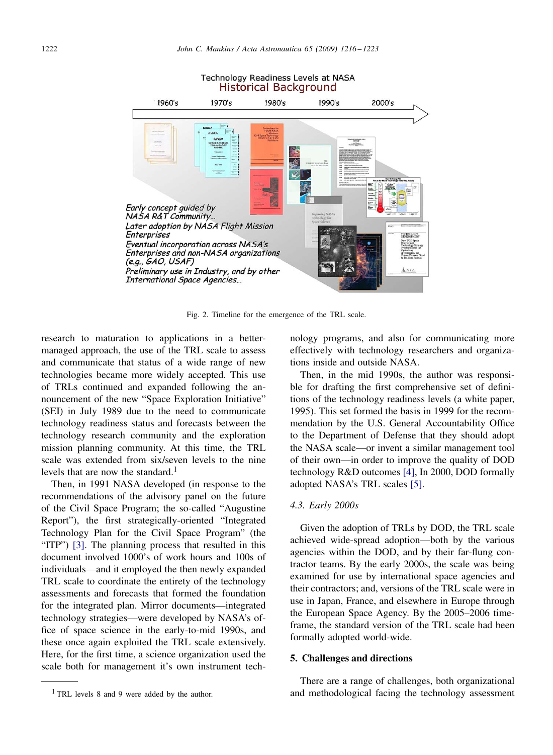

### Technology Readiness Levels at NASA **Historical Background**

Fig. 2. Timeline for the emergence of the TRL scale.

research to maturation to applications in a bettermanaged approach, the use of the TRL scale to assess and communicate that status of a wide range of new technologies became more widely accepted. This use of TRLs continued and expanded following the announcement of the new "Space Exploration Initiative" (SEI) in July 1989 due to the need to communicate technology readiness status and forecasts between the technology research community and the exploration mission planning community. At this time, the TRL scale was extended from six/seven levels to the nine levels that are now the standard.<sup>[1](#page-6-1)</sup>

Then, in 1991 NASA developed (in response to the recommendations of the advisory panel on the future of the Civil Space Program; the so-called "Augustine Report"), the first strategically-oriented "Integrated Technology Plan for the Civil Space Program" (the "ITP") [\[3\].](#page-7-2) The planning process that resulted in this document involved 1000's of work hours and 100s of individuals—and it employed the then newly expanded TRL scale to coordinate the entirety of the technology assessments and forecasts that formed the foundation for the integrated plan. Mirror documents—integrated technology strategies—were developed by NASA's office of space science in the early-to-mid 1990s, and these once again exploited the TRL scale extensively. Here, for the first time, a science organization used the scale both for management it's own instrument tech<span id="page-6-0"></span>nology programs, and also for communicating more effectively with technology researchers and organizations inside and outside NASA.

Then, in the mid 1990s, the author was responsible for drafting the first comprehensive set of definitions of the technology readiness levels (a white paper, 1995). This set formed the basis in 1999 for the recommendation by the U.S. General Accountability Office to the Department of Defense that they should adopt the NASA scale—or invent a similar management tool of their own—in order to improve the quality of DOD technology R&D outcomes [\[4\],](#page-7-3) In 2000, DOD formally adopted NASA's TRL scales [\[5\].](#page-7-4)

#### *4.3. Early 2000s*

Given the adoption of TRLs by DOD, the TRL scale achieved wide-spread adoption—both by the various agencies within the DOD, and by their far-flung contractor teams. By the early 2000s, the scale was being examined for use by international space agencies and their contractors; and, versions of the TRL scale were in use in Japan, France, and elsewhere in Europe through the European Space Agency. By the 2005–2006 timeframe, the standard version of the TRL scale had been formally adopted world-wide.

#### **5. Challenges and directions**

There are a range of challenges, both organizational and methodological facing the technology assessment

<span id="page-6-1"></span><sup>&</sup>lt;sup>1</sup> TRL levels 8 and 9 were added by the author.